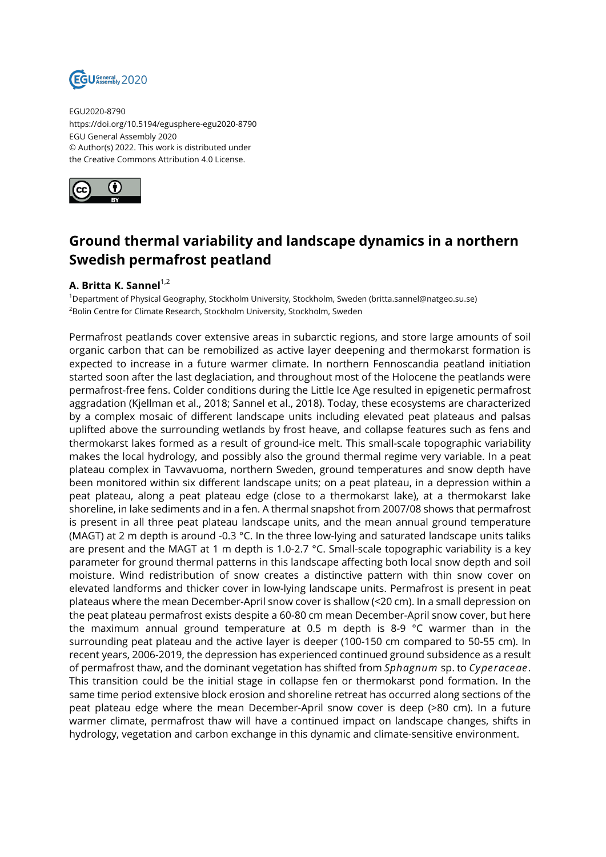

EGU2020-8790 https://doi.org/10.5194/egusphere-egu2020-8790 EGU General Assembly 2020 © Author(s) 2022. This work is distributed under the Creative Commons Attribution 4.0 License.



## **Ground thermal variability and landscape dynamics in a northern Swedish permafrost peatland**

## **A. Britta K. Sannel**<sup>1,2</sup>

<sup>1</sup>Department of Physical Geography, Stockholm University, Stockholm, Sweden (britta.sannel@natgeo.su.se) <sup>2</sup>Bolin Centre for Climate Research, Stockholm University, Stockholm, Sweden

Permafrost peatlands cover extensive areas in subarctic regions, and store large amounts of soil organic carbon that can be remobilized as active layer deepening and thermokarst formation is expected to increase in a future warmer climate. In northern Fennoscandia peatland initiation started soon after the last deglaciation, and throughout most of the Holocene the peatlands were permafrost-free fens. Colder conditions during the Little Ice Age resulted in epigenetic permafrost aggradation (Kjellman et al., 2018; Sannel et al., 2018). Today, these ecosystems are characterized by a complex mosaic of different landscape units including elevated peat plateaus and palsas uplifted above the surrounding wetlands by frost heave, and collapse features such as fens and thermokarst lakes formed as a result of ground-ice melt. This small-scale topographic variability makes the local hydrology, and possibly also the ground thermal regime very variable. In a peat plateau complex in Tavvavuoma, northern Sweden, ground temperatures and snow depth have been monitored within six different landscape units; on a peat plateau, in a depression within a peat plateau, along a peat plateau edge (close to a thermokarst lake), at a thermokarst lake shoreline, in lake sediments and in a fen. A thermal snapshot from 2007/08 shows that permafrost is present in all three peat plateau landscape units, and the mean annual ground temperature (MAGT) at 2 m depth is around -0.3 °C. In the three low-lying and saturated landscape units taliks are present and the MAGT at 1 m depth is 1.0-2.7 °C. Small-scale topographic variability is a key parameter for ground thermal patterns in this landscape affecting both local snow depth and soil moisture. Wind redistribution of snow creates a distinctive pattern with thin snow cover on elevated landforms and thicker cover in low-lying landscape units. Permafrost is present in peat plateaus where the mean December-April snow cover is shallow (<20 cm). In a small depression on the peat plateau permafrost exists despite a 60-80 cm mean December-April snow cover, but here the maximum annual ground temperature at 0.5 m depth is 8-9 °C warmer than in the surrounding peat plateau and the active layer is deeper (100-150 cm compared to 50-55 cm). In recent years, 2006-2019, the depression has experienced continued ground subsidence as a result of permafrost thaw, and the dominant vegetation has shifted from *Sphagnum* sp. to *Cyperaceae*. This transition could be the initial stage in collapse fen or thermokarst pond formation. In the same time period extensive block erosion and shoreline retreat has occurred along sections of the peat plateau edge where the mean December-April snow cover is deep (>80 cm). In a future warmer climate, permafrost thaw will have a continued impact on landscape changes, shifts in hydrology, vegetation and carbon exchange in this dynamic and climate-sensitive environment.